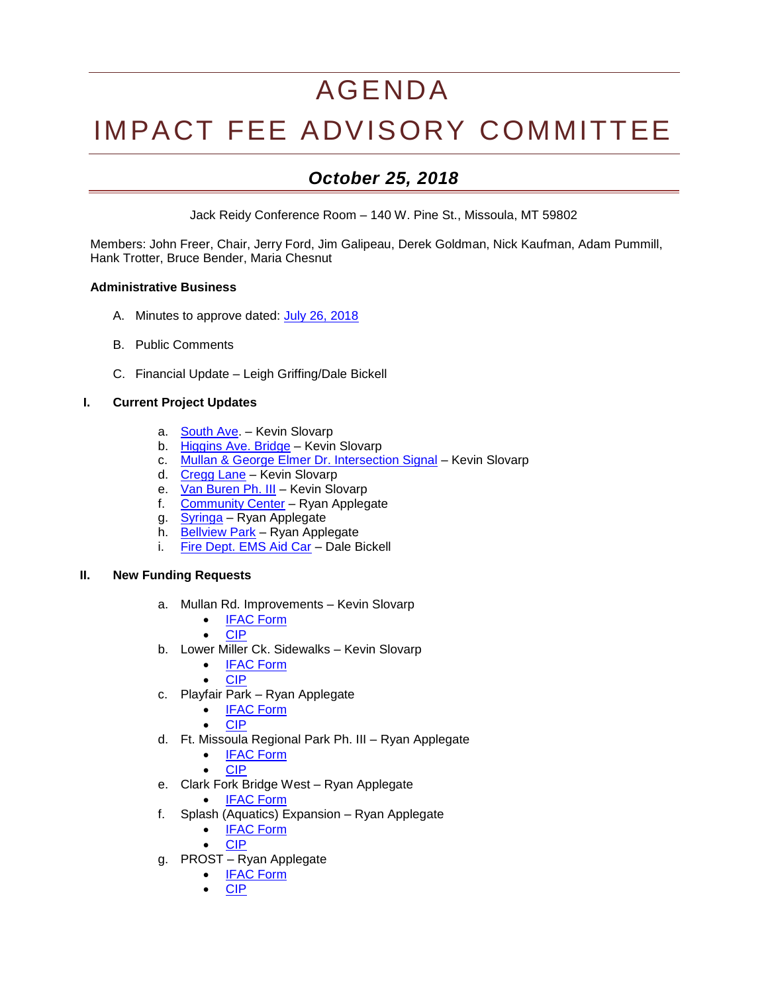# AGENDA

# IMPACT FEE ADVISORY COMMITTEE

## *October 25, 2018*

Jack Reidy Conference Room – 140 W. Pine St., Missoula, MT 59802

Members: John Freer, Chair, Jerry Ford, Jim Galipeau, Derek Goldman, Nick Kaufman, Adam Pummill, Hank Trotter, Bruce Bender, Maria Chesnut

#### **Administrative Business**

- A. Minutes to approve dated: [July 26, 2018](http://ci.missoula.mt.us/Archive.aspx?ADID=12979)
- B. Public Comments
- C. Financial Update Leigh Griffing/Dale Bickell

#### **I. Current Project Updates**

- a. **[South Ave.](https://www.ci.missoula.mt.us/DocumentCenter/View/39239)** Kevin Slovarp
- b. [Higgins Ave. Bridge](https://www.ci.missoula.mt.us/DocumentCenter/View/46583/DS---Higgins-Street-Bridge-Improvements) Kevin Slovarp
- c. [Mullan & George Elmer Dr. Intersection Signal](https://www.ci.missoula.mt.us/DocumentCenter/View/39234) Kevin Slovarp
- d. [Cregg Lane](https://www.ci.missoula.mt.us/DocumentCenter/View/41366) Kevin Slovarp
- e. [Van Buren Ph. III](https://www.ci.missoula.mt.us/DocumentCenter/View/41372) Kevin Slovarp
- f. [Community Center](https://www.ci.missoula.mt.us/DocumentCenter/View/33701) Ryan Applegate
- g. [Syringa](https://www.ci.missoula.mt.us/DocumentCenter/View/40362) Ryan Applegate
- h. [Bellview](http://mt-missoula2.civicplus.com/DocumentCenter/View/32600) Park Ryan Applegate
- i. [Fire Dept. EMS Aid Car](https://www.ci.missoula.mt.us/DocumentCenter/View/40364) Dale Bickell

#### **II. New Funding Requests**

- a. Mullan Rd. Improvements Kevin Slovarp
	- **[IFAC Form](https://www.ci.missoula.mt.us/DocumentCenter/View/46585/DS---Mullan-Rd-Reconstruction)**
	- [CIP](https://www.ci.missoula.mt.us/DocumentCenter/View/39234/FY18-2-Mullan-George-Elmer-Drive-Intersection-Signal)
- b. Lower Miller Ck. Sidewalks Kevin Slovarp
	- [IFAC Form](https://www.ci.missoula.mt.us/DocumentCenter/View/46584/DS---Lower-Miller-Creek-Road-LVB-to-Bigfork)
	- [CIP](https://www.ci.missoula.mt.us/DocumentCenter/View/39246/FY18-14-Lower-Miller-Creek-Road-Reconstruction-Phs-III-VII)
- c. Playfair Park Ryan Applegate
	- [IFAC Form](https://www.ci.missoula.mt.us/DocumentCenter/View/46591/PandR---PlayFair-Park)
	- [CIP](http://www.ci.missoula.mt.us/DocumentCenter/View/43854/Parks-and-Rec-CIP-18-Playfair-Park)
- d. Ft. Missoula Regional Park Ph. III Ryan Applegate
	- [IFAC Form](https://www.ci.missoula.mt.us/DocumentCenter/View/46587/PandR---Ft-Msla-Regional-Park-Phase-3)
		- [CIP](http://www.ci.missoula.mt.us/DocumentCenter/View/43838/Parks-and-Rec-CIP-2-Fort-Missoula-Regional-Park-Update)
- e. Clark Fork Bridge West Ryan Applegate
	- [IFAC Form](https://www.ci.missoula.mt.us/DocumentCenter/View/46589/PandR---Clark-Fork-Bridge-West)
- f. Splash (Aquatics) Expansion Ryan Applegate
	- [IFAC Form](https://www.ci.missoula.mt.us/DocumentCenter/View/46586/Pand-R---Aquatics-Revenue-Generation)
	- [CIP](https://www.ci.missoula.mt.us/DocumentCenter/View/46588/PandR---FY19-CIP-Aquatics-Revenue-Generation)
- g. PROST Ryan Applegate
	- [IFAC Form](https://www.ci.missoula.mt.us/DocumentCenter/View/46592/PandR---PROST-Plan)
	- [CIP](http://www.ci.missoula.mt.us/DocumentCenter/View/43848/Parks-and-Rec-CIP-12-Parks-Recreation-Open-Space-Trails-Plan-PROST)